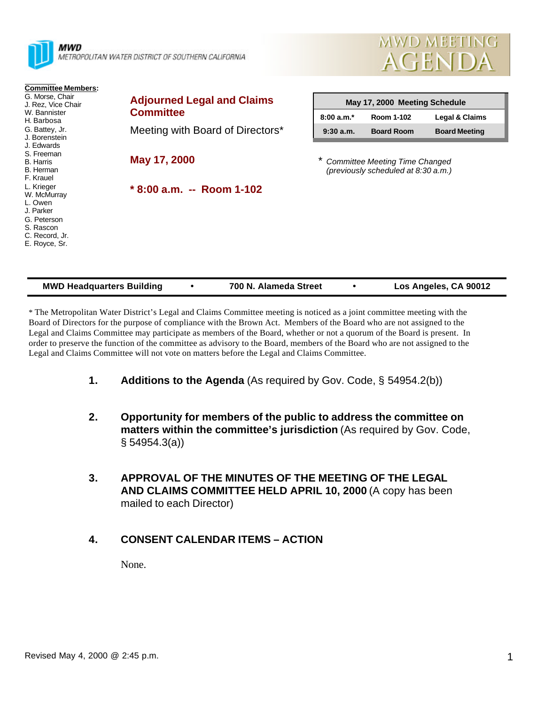

MWD METROPOLITAN WATER DISTRICT OF SOUTHERN CALIFORNIA



| <b>Committee Members:</b><br>G. Morse, Chair<br>J. Rez, Vice Chair                                               | <b>Adjourned Legal and Claims</b> | May 17, 2000 Meeting Schedule                                                |                   |                      |  |
|------------------------------------------------------------------------------------------------------------------|-----------------------------------|------------------------------------------------------------------------------|-------------------|----------------------|--|
| W. Bannister<br>H. Barbosa                                                                                       | <b>Committee</b>                  | $8:00a.m.*$                                                                  | Room 1-102        | Legal & Claims       |  |
| G. Battey, Jr.<br>J. Borenstein<br>J. Edwards                                                                    | Meeting with Board of Directors*  | 9:30a.m.                                                                     | <b>Board Room</b> | <b>Board Meeting</b> |  |
| S. Freeman<br><b>B.</b> Harris<br>B. Herman<br>F. Krauel                                                         | May 17, 2000                      | <b>Committee Meeting Time Changed</b><br>(previously scheduled at 8:30 a.m.) |                   |                      |  |
| L. Krieger<br>W. McMurray<br>L. Owen<br>J. Parker<br>G. Peterson<br>S. Rascon<br>C. Record, Jr.<br>E. Royce, Sr. | $*8:00$ a.m. -- Room 1-102        |                                                                              |                   |                      |  |

| <b>MWD Headquarters Building</b> | 700 N. Alameda Street | Los Angeles, CA 90012 |
|----------------------------------|-----------------------|-----------------------|

\* The Metropolitan Water District's Legal and Claims Committee meeting is noticed as a joint committee meeting with the Board of Directors for the purpose of compliance with the Brown Act. Members of the Board who are not assigned to the Legal and Claims Committee may participate as members of the Board, whether or not a quorum of the Board is present. In order to preserve the function of the committee as advisory to the Board, members of the Board who are not assigned to the Legal and Claims Committee will not vote on matters before the Legal and Claims Committee.

- **1. Additions to the Agenda** (As required by Gov. Code, § 54954.2(b))
- **2. Opportunity for members of the public to address the committee on matters within the committee's jurisdiction** (As required by Gov. Code, § 54954.3(a))
- **3. APPROVAL OF THE MINUTES OF THE MEETING OF THE LEGAL AND CLAIMS COMMITTEE HELD APRIL 10, 2000** (A copy has been mailed to each Director)

### **4. CONSENT CALENDAR ITEMS – ACTION**

None.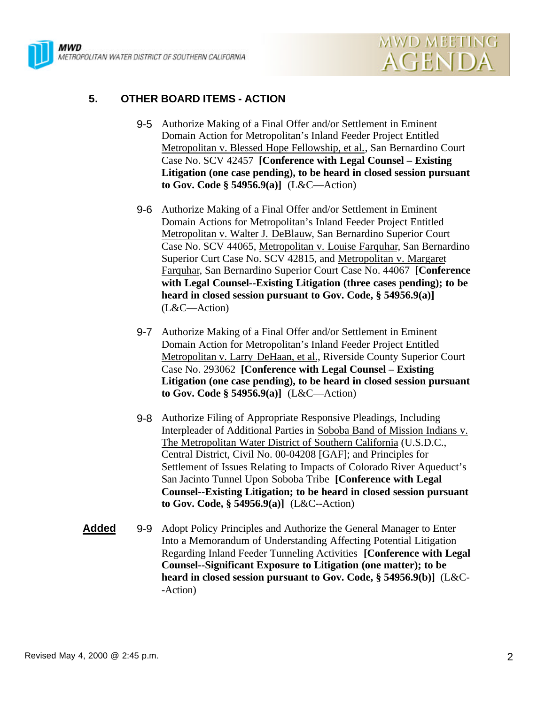



# **5. OTHER BOARD ITEMS - ACTION**

- 9-5 Authorize Making of a Final Offer and/or Settlement in Eminent Domain Action for Metropolitan's Inland Feeder Project Entitled Metropolitan v. Blessed Hope Fellowship, et al., San Bernardino Court Case No. SCV 42457 **[Conference with Legal Counsel – Existing Litigation (one case pending), to be heard in closed session pursuant to Gov. Code § 54956.9(a)]** (L&C—Action)
- 9-6 Authorize Making of a Final Offer and/or Settlement in Eminent Domain Actions for Metropolitan's Inland Feeder Project Entitled Metropolitan v. Walter J. DeBlauw, San Bernardino Superior Court Case No. SCV 44065, Metropolitan v. Louise Farquhar, San Bernardino Superior Curt Case No. SCV 42815, and Metropolitan v. Margaret Farquhar, San Bernardino Superior Court Case No. 44067 **[Conference with Legal Counsel--Existing Litigation (three cases pending); to be heard in closed session pursuant to Gov. Code, § 54956.9(a)]** (L&C—Action)
- 9-7 Authorize Making of a Final Offer and/or Settlement in Eminent Domain Action for Metropolitan's Inland Feeder Project Entitled Metropolitan v. Larry DeHaan, et al., Riverside County Superior Court Case No. 293062 **[Conference with Legal Counsel – Existing Litigation (one case pending), to be heard in closed session pursuant to Gov. Code § 54956.9(a)]** (L&C—Action)
- 9-8 Authorize Filing of Appropriate Responsive Pleadings, Including Interpleader of Additional Parties in Soboba Band of Mission Indians v. The Metropolitan Water District of Southern California (U.S.D.C., Central District, Civil No. 00-04208 [GAF]; and Principles for Settlement of Issues Relating to Impacts of Colorado River Aqueduct's San Jacinto Tunnel Upon Soboba Tribe **[Conference with Legal Counsel--Existing Litigation; to be heard in closed session pursuant to Gov. Code, § 54956.9(a)]** (L&C--Action)
- **Added** 9-9 Adopt Policy Principles and Authorize the General Manager to Enter Into a Memorandum of Understanding Affecting Potential Litigation Regarding Inland Feeder Tunneling Activities **[Conference with Legal Counsel--Significant Exposure to Litigation (one matter); to be heard in closed session pursuant to Gov. Code, § 54956.9(b)]** (L&C- -Action)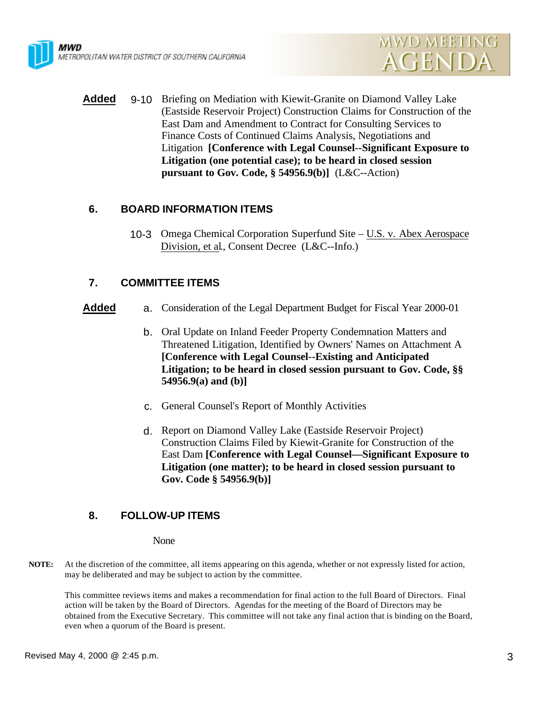



**Added** 9-10 Briefing on Mediation with Kiewit-Granite on Diamond Valley Lake (Eastside Reservoir Project) Construction Claims for Construction of the East Dam and Amendment to Contract for Consulting Services to Finance Costs of Continued Claims Analysis, Negotiations and Litigation **[Conference with Legal Counsel--Significant Exposure to Litigation (one potential case); to be heard in closed session pursuant to Gov. Code, § 54956.9(b)]** (L&C--Action)

## **6. BOARD INFORMATION ITEMS**

10-3 Omega Chemical Corporation Superfund Site – U.S. v. Abex Aerospace Division, et al., Consent Decree (L&C--Info.)

## **7. COMMITTEE ITEMS**

- **Added** a. Consideration of the Legal Department Budget for Fiscal Year 2000-01
	- b. Oral Update on Inland Feeder Property Condemnation Matters and Threatened Litigation, Identified by Owners' Names on Attachment A **[Conference with Legal Counsel--Existing and Anticipated Litigation; to be heard in closed session pursuant to Gov. Code, §§ 54956.9(a) and (b)]**
	- c. General Counsel's Report of Monthly Activities
	- d. Report on Diamond Valley Lake (Eastside Reservoir Project) Construction Claims Filed by Kiewit-Granite for Construction of the East Dam **[Conference with Legal Counsel—Significant Exposure to Litigation (one matter); to be heard in closed session pursuant to Gov. Code § 54956.9(b)]**

# **8. FOLLOW-UP ITEMS**

### None

**NOTE:** At the discretion of the committee, all items appearing on this agenda, whether or not expressly listed for action, may be deliberated and may be subject to action by the committee.

This committee reviews items and makes a recommendation for final action to the full Board of Directors. Final action will be taken by the Board of Directors. Agendas for the meeting of the Board of Directors may be obtained from the Executive Secretary. This committee will not take any final action that is binding on the Board, even when a quorum of the Board is present.